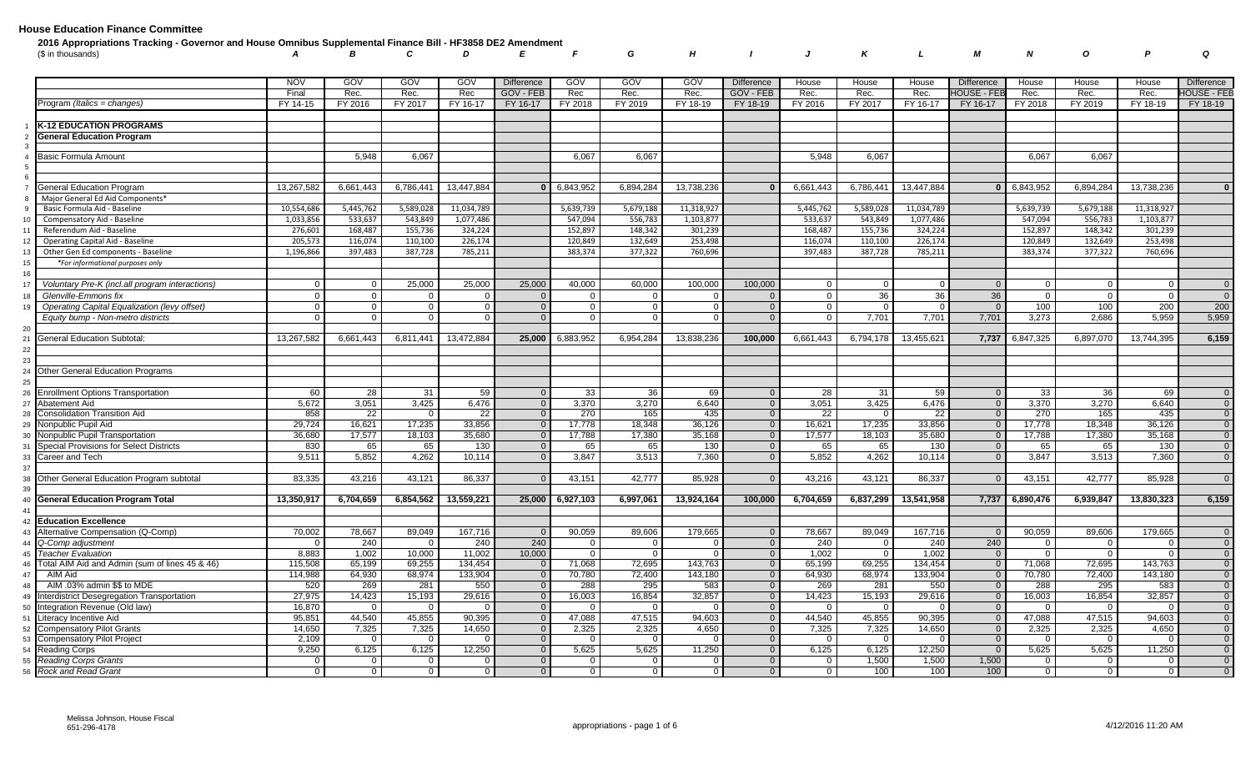| 2016 Appropriations Tracking - Governor and House Omnibus Supplemental Finance Bill - HF3858 DE2 Amendment |  |  |  |  |  |  |  |  |  |
|------------------------------------------------------------------------------------------------------------|--|--|--|--|--|--|--|--|--|
| A B C D E F G H I J K L M N O P Q                                                                          |  |  |  |  |  |  |  |  |  |

|                                                 | <b>NOV</b> | GOV            | GOV       | GOV        | <b>Difference</b> | GOV                | GOV         | GOV        | <b>Difference</b> | House          | House     | House      | <b>Difference</b> | House          | House     | House      | Difference     |
|-------------------------------------------------|------------|----------------|-----------|------------|-------------------|--------------------|-------------|------------|-------------------|----------------|-----------|------------|-------------------|----------------|-----------|------------|----------------|
|                                                 | Final      | Rec.           | Rec.      | Rec        | GOV - FEB         | Rec                | Rec.        | Rec.       | GOV - FEB         | Rec.           | Rec.      | Rec.       | HOUSE - FEI       | Rec.           | Rec.      | Rec.       | HOUSE - FEB    |
| Program (Italics = changes)                     | FY 14-15   | FY 2016        | FY 2017   | FY 16-17   | FY 16-17          | FY 2018            | FY 2019     | FY 18-19   | FY 18-19          | FY 2016        | FY 2017   | FY 16-17   | FY 16-17          | FY 2018        | FY 2019   | FY 18-19   | FY 18-19       |
|                                                 |            |                |           |            |                   |                    |             |            |                   |                |           |            |                   |                |           |            |                |
| <b>K-12 EDUCATION PROGRAMS</b>                  |            |                |           |            |                   |                    |             |            |                   |                |           |            |                   |                |           |            |                |
| <b>General Education Program</b>                |            |                |           |            |                   |                    |             |            |                   |                |           |            |                   |                |           |            |                |
|                                                 |            |                |           |            |                   |                    |             |            |                   |                |           |            |                   |                |           |            |                |
| Basic Formula Amount                            |            | 5.948          | 6,067     |            |                   | 6,067              | 6,067       |            |                   | 5.948          | 6,067     |            |                   | 6.067          | 6,067     |            |                |
|                                                 |            |                |           |            |                   |                    |             |            |                   |                |           |            |                   |                |           |            |                |
|                                                 |            |                |           |            |                   |                    |             |            |                   |                |           |            |                   |                |           |            |                |
| General Education Program                       | 13,267,582 | 6,661,443      | 6,786,441 | 13,447,884 |                   | $0 \mid 6,843,952$ | 6,894,284   | 13,738,236 | $\mathbf{0}$      | 6,661,443      | 6,786,441 | 13,447,884 |                   | 0 6,843,952    | 6,894,284 | 13,738,236 | $\Omega$       |
| Major General Ed Aid Components*                |            |                |           |            |                   |                    |             |            |                   |                |           |            |                   |                |           |            |                |
| Basic Formula Aid - Baseline                    | 10,554,686 | 5,445,762      | 5,589,028 | 11,034,789 |                   | 5,639,739          | 5,679,188   | 11,318,927 |                   | 5,445,762      | 5,589,028 | 11,034,789 |                   | 5,639,739      | 5,679,188 | 11,318,927 |                |
| Compensatory Aid - Baseline                     | 1,033,856  | 533,637        | 543,849   | 1,077,486  |                   | 547,094            | 556,783     | 1,103,877  |                   | 533,637        | 543,849   | 1,077,486  |                   | 547,094        | 556,783   | 1,103,877  |                |
| Referendum Aid - Baseline                       | 276,601    | 168,487        | 155,736   | 324,224    |                   | 152,897            | 148,342     | 301,239    |                   | 168,487        | 155,736   | 324,224    |                   | 152,897        | 148,342   | 301,239    |                |
| <b>Operating Capital Aid - Baseline</b>         | 205,573    | 116,074        | 110,100   | 226,174    |                   | 120,849            | 132,649     | 253,498    |                   | 116,074        | 110,100   | 226,174    |                   | 120,849        | 132,649   | 253,498    |                |
| Other Gen Ed components - Baseline              | 1,196,866  | 397,483        | 387,728   | 785,211    |                   | 383,374            | 377,322     | 760,696    |                   | 397,483        | 387,728   | 785,211    |                   | 383,374        | 377,322   | 760,696    |                |
| *For informational purposes only                |            |                |           |            |                   |                    |             |            |                   |                |           |            |                   |                |           |            |                |
|                                                 |            |                |           |            |                   |                    |             |            |                   |                |           |            |                   |                |           |            |                |
| Voluntary Pre-K (incl.all program interactions) | $\Omega$   | $\mathbf 0$    | 25,000    | 25,000     | 25,000            | 40,000             | 60,000      | 100,000    | 100,000           | $\overline{0}$ |           |            | $\Omega$          | $\overline{0}$ | $\Omega$  |            | $\overline{0}$ |
| Glenville-Emmons fix                            | $\Omega$   | $\overline{0}$ | $\Omega$  |            | $\Omega$          | $\mathbf 0$        |             |            | $\Omega$          | $\Omega$       | 36        | 36         | 36                | $\Omega$       | $\Omega$  |            | $\overline{0}$ |
| Operating Capital Equalization (levy offset)    | $\Omega$   | $\overline{0}$ | $\Omega$  | $\Omega$   | $\Omega$          | $\mathbf 0$        | $\Omega$    | $\Omega$   | $\Omega$          | $\Omega$       |           |            |                   | 100            | 100       | 200        | 200            |
| Equity bump - Non-metro districts               | $\Omega$   | $\mathbf 0$    | $\Omega$  | $\Omega$   | $\Omega$          | $\overline{0}$     | $\Omega$    | $\Omega$   | $\Omega$          | $\overline{0}$ | 7,701     | 7,701      | 7,701             | 3,273          | 2,686     | 5,959      | 5,959          |
|                                                 |            |                |           |            |                   |                    |             |            |                   |                |           |            |                   |                |           |            |                |
|                                                 |            |                |           |            |                   |                    |             |            |                   |                |           |            |                   |                |           |            |                |
| <b>General Education Subtotal</b>               | 13,267,582 | 6,661,443      | 6,811,441 | 13,472,884 | 25,000            | 6,883,952          | 6,954,284   | 13,838,236 | 100,000           | 6,661,443      | 6,794,178 | 13,455,621 | 7,737             | 6,847,325      | 6,897,070 | 13,744,395 | 6,159          |
|                                                 |            |                |           |            |                   |                    |             |            |                   |                |           |            |                   |                |           |            |                |
|                                                 |            |                |           |            |                   |                    |             |            |                   |                |           |            |                   |                |           |            |                |
| <b>Other General Education Programs</b>         |            |                |           |            |                   |                    |             |            |                   |                |           |            |                   |                |           |            |                |
|                                                 |            |                |           |            |                   |                    |             |            |                   |                |           |            |                   |                |           |            |                |
| <b>Enrollment Options Transportation</b>        | 60         | 28             | 31        | 59         | $\mathbf 0$       | 33                 | 36          | 69         | $\overline{0}$    | 28             | 31        | 59         | $\overline{0}$    | 33             | 36        | 69         | $\overline{0}$ |
| Abatement Aid                                   | 5,672      | 3,051          | 3,425     | 6,476      | $\mathbf 0$       | 3,370              | 3,270       | 6,640      | $\overline{0}$    | 3,051          | 3,425     | 6,476      | $\overline{0}$    | 3,370          | 3,270     | 6,640      | $\overline{0}$ |
| <b>Consolidation Transition Aid</b>             | 858        | 22             | - 0       | 22         | $\overline{0}$    | 270                | 165         | 435        | $\overline{0}$    | 22             | $\Omega$  | 22         | $\overline{0}$    | 270            | 165       | 435        | $\overline{0}$ |
| Nonpublic Pupil Aid                             | 29,724     | 16,621         | 17,235    | 33,856     | $\overline{0}$    | 17,778             | 18,348      | 36,126     | $\overline{0}$    | 16,621         | 17,235    | 33,856     | $\Omega$          | 17,778         | 18,348    | 36,126     | $\overline{0}$ |
| Nonpublic Pupil Transportation                  | 36,680     | 17,577         | 18,103    | 35,680     | $\Omega$          | 17,788             | 17,380      | 35,168     | $\overline{0}$    | 17,577         | 18,103    | 35,680     | $\overline{0}$    | 17,788         | 17,380    | 35,168     | $\overline{0}$ |
| <b>Special Provisions for Select Districts</b>  | 830        | 65             | 65        | 130        | $\Omega$          | 65                 | 65          | 130        | $\overline{0}$    | 65             | 65        | 130        | $\overline{0}$    | 65             | 65        | 130        | $\overline{0}$ |
| Career and Tech                                 | 9,511      | 5,852          | 4,262     | 10,114     | $\overline{0}$    | 3,847              | 3,513       | 7,360      | $\mathbf{0}$      | 5,852          | 4,262     | 10,114     | $\Omega$          | 3,847          | 3,513     | 7,360      | $\overline{0}$ |
|                                                 |            |                |           |            |                   |                    |             |            |                   |                |           |            |                   |                |           |            |                |
| Other General Education Program subtotal        | 83,335     | 43,216         | 43,121    | 86,337     | $\Omega$          | 43,151             | 42,777      | 85,928     | $\Omega$          | 43,216         | 43,121    | 86,337     | $\Omega$          | 43,151         | 42,777    | 85,928     | $\overline{0}$ |
|                                                 |            |                |           |            |                   |                    |             |            |                   |                |           |            |                   |                |           |            |                |
| <b>General Education Program Total</b>          | 13,350,917 | 6,704,659      | 6,854,562 | 13,559,221 | 25,000            | 6,927,103          | 6,997,061   | 13,924,164 | 100,000           | 6,704,659      | 6,837,299 | 13,541,958 | 7,737             | 6,890,476      | 6,939,847 | 13,830,323 | 6,159          |
|                                                 |            |                |           |            |                   |                    |             |            |                   |                |           |            |                   |                |           |            |                |
| <b>Education Excellence</b>                     |            |                |           |            |                   |                    |             |            |                   |                |           |            |                   |                |           |            |                |
| Alternative Compensation (Q-Comp)               | 70,002     | 78,667         | 89,049    | 167,716    |                   | 90,059             | 89,606      | 179,665    | $\overline{0}$    | 78,667         | 89,049    | 167,716    | $\Omega$          | 90,059         | 89,606    | 179,665    | $\overline{0}$ |
| Q-Comp adjustment                               |            | 240            | $\Omega$  | 240        | 240               | $\mathbf 0$        | $\Omega$    |            | $\overline{0}$    | 240            | $\Omega$  | 240        | 240               | $\mathbf 0$    | $\Omega$  |            | $\overline{0}$ |
| Teacher Evaluation                              | 8,883      | 1,002          | 10,000    | 11,002     | 10,000            | $\overline{0}$     |             |            | $\overline{0}$    | 1,002          | $\Omega$  | 1,002      | $\Omega$          | $\overline{0}$ | $\Omega$  |            | $\overline{0}$ |
| Total AIM Aid and Admin (sum of lines 45 & 46)  | 115,508    | 65,199         | 69,255    | 134.454    | $\Omega$          | 71,068             | 72,695      | 143,763    | $\overline{0}$    | 65,199         | 69,255    | 134,454    | $\Omega$          | 71,068         | 72,695    | 143,763    | $\overline{0}$ |
| AIM Aid                                         | 114,988    | 64,930         | 68,974    | 133,904    | $\Omega$          | 70,780             | 72,400      | 143,180    | $\overline{0}$    | 64,930         | 68,974    | 133,904    | $\overline{0}$    | 70,780         | 72,400    | 143,180    | $\overline{0}$ |
| AIM .03% admin \$\$ to MDE                      | 520        | 269            | 281       | 550        | $\Omega$          | 288                | 295         | 583        | $\mathbf{0}$      | 269            | 281       | 550        | $\Omega$          | 288            | 295       | 583        | $\overline{0}$ |
| Interdistrict Desegregation Transportation      | 27,975     | 14,423         | 15,193    | 29,616     | $\Omega$          | 16,003             | 16,854      | 32,857     | $\overline{0}$    | 14,423         | 15,193    | 29,616     | $\overline{0}$    | 16,003         | 16,854    | 32,857     | $\overline{0}$ |
| Integration Revenue (Old law)                   | 16,870     | $\mathbf 0$    |           |            | $\overline{0}$    | $\mathbf 0$        |             |            | $\overline{0}$    | $\Omega$       |           |            | $\Omega$          | $\overline{0}$ |           |            | $\overline{0}$ |
| iteracy Incentive Aid                           | 95,851     | 44,540         | 45,855    | 90,395     | $\Omega$          | 47,088             | 47,515      | 94,603     | $\overline{0}$    | 44,540         | 45,855    | 90,395     | $\overline{0}$    | 47,088         | 47,515    | 94,603     | $\overline{0}$ |
| <b>Compensatory Pilot Grants</b>                | 14.650     | 7,325          | 7,325     | 14.650     | $\Omega$          | 2,325              | 2,325       | 4,650      | $\overline{0}$    | 7,325          | 7,325     | 14,650     | $\Omega$          | 2,325          | 2,325     | 4.650      | $\overline{0}$ |
| <b>Compensatory Pilot Project</b>               | 2,109      | $\mathbf 0$    |           |            | $\overline{0}$    | $\overline{0}$     |             |            | $\mathbf{0}$      | $\Omega$       |           |            | $\Omega$          | $\overline{0}$ |           |            | $\Omega$       |
| Reading Corps                                   | 9,250      | 6,125          | 6,125     | 12,250     | $\overline{0}$    | 5,625              | 5,625       | 11,250     | $\overline{0}$    | 6,125          | 6,125     | 12,250     | $\overline{0}$    | 5,625          | 5,625     | 11,250     | $\overline{0}$ |
| <b>Reading Corps Grants</b>                     | $\Omega$   | $\mathbf 0$    | - 0       |            | $\overline{0}$    | $\mathbf 0$        | $\Omega$    |            | $\Omega$          | $\mathbf{0}$   | 1,500     | 1,500      | 1,500             | $\mathbf{0}$   | - 0       |            | $\overline{0}$ |
| <b>Rock and Read Grant</b>                      | $\Omega$   | $\mathbf 0$    | $\Omega$  | $\Omega$   | $\overline{0}$    | $\overline{0}$     | $\mathbf 0$ |            | $\mathbf{0}$      | $\mathbf{0}$   | 100       | 100        | 100               | $\overline{0}$ | $\Omega$  |            | $\overline{0}$ |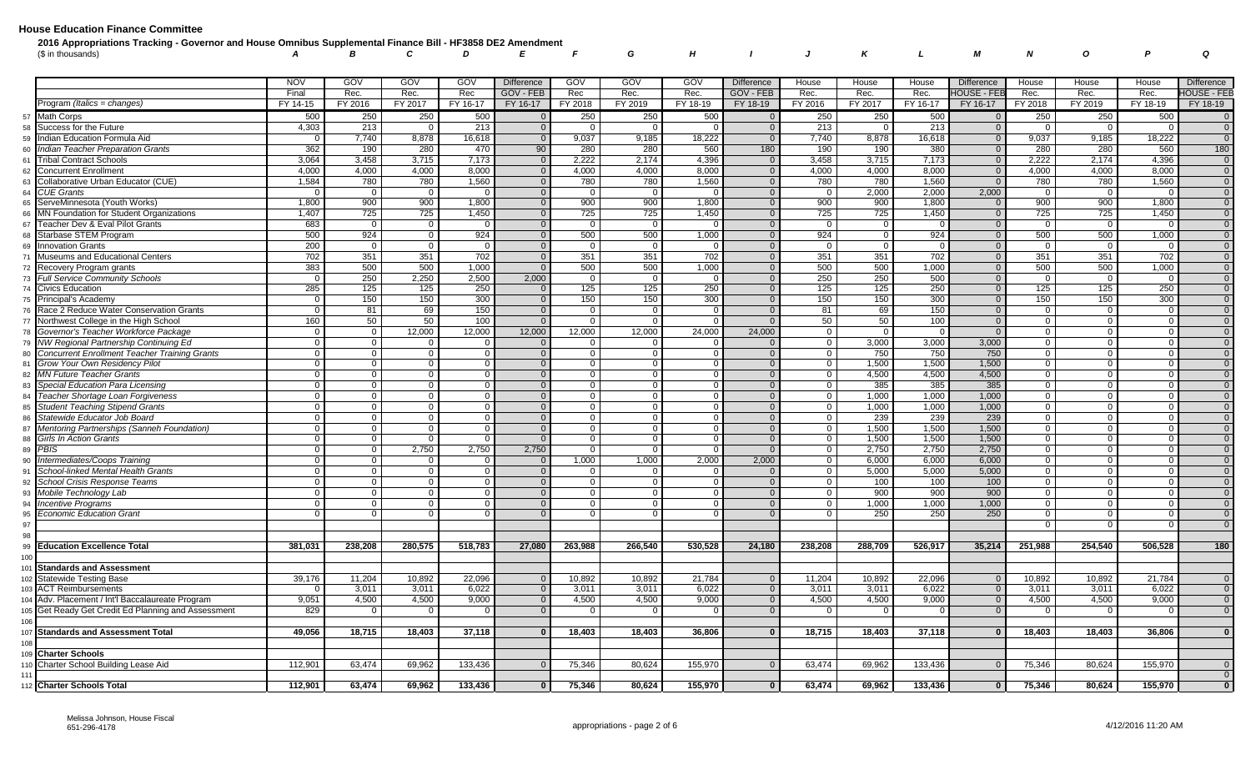| 2016 Appropriations Tracking - Governor and House Omnibus Supplemental Finance Bill - HF3858 DE2 Amendment |  |  |  |  |  |  |  |                                   |  |
|------------------------------------------------------------------------------------------------------------|--|--|--|--|--|--|--|-----------------------------------|--|
| (\$ in thousands)                                                                                          |  |  |  |  |  |  |  | A B C D E F G H I J K L M N O P Q |  |

|          |                                                                     | <b>NOV</b>                 | GOV                           | GOV                     | GOV            | <b>Difference</b>        | GOV                           | GOV                        | GOV      | <b>Difference</b>       | House                            | House        | House        | <b>Difference</b>  | House                         | House                | House    | <b>Difference</b>                |
|----------|---------------------------------------------------------------------|----------------------------|-------------------------------|-------------------------|----------------|--------------------------|-------------------------------|----------------------------|----------|-------------------------|----------------------------------|--------------|--------------|--------------------|-------------------------------|----------------------|----------|----------------------------------|
|          |                                                                     | Final                      | Rec.                          | Rec.                    | Rec            | GOV - FEB                | Rec                           | Rec.                       | Rec.     | GOV - FEB               | Rec.                             | Rec.         | Rec.         | <b>HOUSE - FEB</b> | Rec.                          | Rec.                 | Rec.     | <b>HOUSE - FEB</b>               |
|          | Program (Italics = changes)                                         | FY 14-15                   | FY 2016                       | FY 2017                 | FY 16-17       | FY 16-17                 | FY 2018                       | FY 2019                    | FY 18-19 | FY 18-19                | FY 2016                          | FY 2017      | FY 16-17     | FY 16-17           | FY 2018                       | FY 2019              | FY 18-19 | FY 18-19                         |
| 57       | <b>Math Corps</b>                                                   | 500                        | 250                           | 250                     | 500            | $\Omega$                 | 250                           | 250                        | 500      | $\overline{0}$          | 250                              | 250          | 500          | $\overline{0}$     | 250                           | 250                  | 500      | $\overline{0}$                   |
| 58       | Success for the Future                                              | 4,303                      | 213                           | $\Omega$                | 213            | $\overline{0}$           | $\Omega$                      |                            |          | $\mathbf{0}$            | 213                              |              | 213          | $\overline{0}$     | $\Omega$                      |                      |          | $\overline{0}$                   |
| 59       | Indian Education Formula Aid                                        | $\Omega$                   | 7,740                         | 8,878                   | 16,618         | $\overline{0}$           | 9,037                         | 9,185                      | 18,222   | $\overline{0}$          | 7,740                            | 8,878        | 16,618       | $\overline{0}$     | 9,037                         | 9,185                | 18,222   | $\overline{0}$                   |
| 60       | Indian Teacher Preparation Grants                                   | 362                        | 190                           | 280                     | 470            | 90                       | 280                           | 280                        | 560      | 180                     | 190                              | 190          | 380          | $\overline{0}$     | 280                           | 280                  | 560      | 180                              |
| 61       | <b>Tribal Contract Schools</b>                                      | 3,064                      | 3,458                         | 3,715                   | 7,173          | $\overline{0}$           | 2,222                         | 2,174                      | 4,396    | $\Omega$                | 3,458                            | 3,715        | 7,173        | $\overline{0}$     | 2,222                         | 2,174                | 4,396    | $\overline{0}$                   |
| 62       | <b>Concurrent Enrollment</b>                                        | 4,000                      | 4,000                         | 4,000                   | 8,000          | $\mathbf 0$              | 4,000                         | 4,000                      | 8,000    | $\overline{0}$          | 4,000                            | 4,000        | 8,000        | $\overline{0}$     | 4,000                         | 4,000                | 8,000    | $\overline{0}$                   |
| 63       | Collaborative Urban Educator (CUE)                                  | 1,584                      | 780                           | 780                     | 1,560          | $\overline{0}$           | 780                           | 780                        | 1,560    | $\Omega$                | 780                              | 780          | 1.560        | $\Omega$           | 780                           | 780                  | 1,560    | $\overline{0}$                   |
| 64       | <b>CUE Grants</b>                                                   | $\Omega$                   | $\overline{0}$                | $\overline{0}$          | $\overline{0}$ | $\overline{0}$           | $\overline{0}$                | $\overline{0}$             | - റ      | $\Omega$                | $\overline{0}$                   | 2,000        | 2,000        | 2,000              | $\overline{0}$                | $\overline{0}$       |          | $\overline{0}$                   |
| 65       | ServeMinnesota (Youth Works)                                        | 1,800                      | 900                           | 900                     | 1,800          | $\Omega$                 | 900                           | 900                        | 1,800    | $\overline{0}$          | 900                              | 900          | 1,800        | $\Omega$           | 900                           | 900                  | 1,800    | $\overline{0}$                   |
| 66       | MN Foundation for Student Organizations                             | 1,407                      | 725                           | 725                     | 1,450          | $\overline{0}$           | 725                           | 725                        | 1,450    | $\overline{0}$          | 725                              | 725          | 1,450        | $\overline{0}$     | 725                           | 725                  | 1,450    | $\overline{0}$                   |
| 67       | Teacher Dev & Eval Pilot Grants                                     | 683                        | $\mathbf 0$                   | $\overline{0}$          |                | $\overline{0}$           | $\overline{0}$                | $\overline{0}$             |          | $\overline{0}$          | 0 <sup>1</sup>                   | $\Omega$     |              | $\overline{0}$     | $\overline{0}$                | $\Omega$             |          | $\overline{0}$                   |
| 68       | Starbase STEM Program                                               | 500                        | 924                           | $\mathbf 0$             | 924            | $\Omega$                 | 500                           | 500                        | 1,000    | $\Omega$                | 924                              | $\Omega$     | 924          | $\overline{0}$     | 500                           | 500                  | 1,000    | $\overline{0}$                   |
| 69       | <b>Innovation Grants</b>                                            | 200                        | $\mathbf 0$                   | $\mathbf 0$             |                | $\overline{0}$           | $\mathbf 0$                   | $\overline{0}$             | - ೧      | $\mathbf{0}$            | $\overline{0}$                   | $\Omega$     |              | $\overline{0}$     | $\mathbf 0$                   | $\overline{0}$       |          | $\overline{0}$                   |
|          | Museums and Educational Centers                                     | 702                        | 351                           | 351                     | 702            | $\overline{0}$           | 351                           | 351                        | 702      | $\Omega$                | 351                              | 351          | 702          | $\overline{0}$     | 351                           | 351                  | 702      | $\overline{0}$                   |
| 72       | Recovery Program grants                                             | 383                        | 500                           | 500                     | 1,000          | $\overline{0}$           | 500                           | 500                        | 1,000    | $\overline{0}$          | 500                              | 500          | 1,000        | $\overline{0}$     | 500                           | 500                  | 1,000    | $\overline{0}$                   |
| 73       | <b>Full Service Community Schools</b>                               | $\mathbf 0$                | 250                           | 2,250                   | 2,500          | 2,000                    | $\overline{0}$                | $\overline{0}$             |          | $\overline{0}$          | 250                              | 250          | 500          | $\overline{0}$     | $\overline{0}$                | $\Omega$             |          | $\overline{0}$                   |
| 74       | <b>Civics Education</b>                                             | 285                        | 125                           | 125                     | 250            | $\Omega$                 | 125                           | 125                        | 250      | $\Omega$                | 125                              | 125          | 250          | $\Omega$           | 125                           | 125                  | 250      | $\overline{0}$                   |
| 75       | Principal's Academy                                                 | $\Omega$                   | 150                           | 150                     | 300            | $\mathbf 0$              | 150                           | 150                        | 300      | $\mathbf{0}$            | 150                              | 150          | 300          | $\overline{0}$     | 150                           | 150                  | 300      | $\overline{0}$                   |
|          | Race 2 Reduce Water Conservation Grants                             | $\overline{0}$             | 81                            | 69                      | 150            | $\Omega$                 | $\Omega$                      | $\Omega$                   |          | $\Omega$                | 81                               | 69           | 150          | $\overline{0}$     | $\mathbf{0}$                  | $\Omega$             |          | $\overline{0}$                   |
| 77       | Northwest College in the High School                                | 160                        | 50                            | 50                      | 100            | $\Omega$                 | $\mathbf 0$                   | $\Omega$                   | $\Omega$ | $\Omega$                | 50                               | 50           | 100          | $\overline{0}$     | $\mathbf 0$                   | $\Omega$             |          | $\overline{0}$                   |
| 78       | Governor's Teacher Workforce Package                                | $\Omega$                   | $\mathbf 0$                   | 12,000                  | 12,000         | 12,000                   | 12,000                        | 12,000                     | 24,000   | 24,000                  | $\overline{0}$                   |              |              | $\Omega$           | $\mathbf 0$                   | $\Omega$             |          | $\overline{0}$                   |
| 79       | NW Regional Partnership Continuing Ed                               | $\Omega$                   | $\mathbf 0$                   | $\Omega$                |                | - റ                      | $\Omega$                      | - 0                        |          | $\Omega$                | $\overline{0}$                   | 3,000        | 3,000        | 3,000              | $\mathbf 0$                   | $\Omega$             |          | $\Omega$                         |
| 80       | <b>Concurrent Enrollment Teacher Training Grants</b>                | $\mathbf 0$                | $\mathbf 0$                   | $\mathbf 0$             |                | $\Omega$                 | $\mathbf 0$                   | $\overline{0}$             |          | $\Omega$                | $\overline{0}$                   | 750          | 750          | 750                | $\mathbf 0$                   | $\Omega$             |          | $\overline{0}$                   |
| 81       | Grow Your Own Residency Pilot                                       | $\Omega$                   | $\Omega$                      | $\Omega$                |                | $\Omega$                 | $\overline{0}$                | $\Omega$                   |          | $\Omega$                | $\overline{0}$                   | 1,500        | 1,500        | 1,500              | $\overline{0}$                | $\Omega$             |          | $\overline{0}$                   |
| 82       | <b>MN Future Teacher Grants</b><br>Special Education Para Licensing | $\overline{0}$<br>$\Omega$ | $\mathbf 0$<br>$\overline{0}$ | $\mathbf 0$<br>$\Omega$ |                | $\mathbf{0}$<br>$\Omega$ | $\mathbf 0$<br>$\overline{0}$ | $\overline{0}$<br>$\Omega$ |          | $\Omega$<br>$\Omega$    | $\overline{0}$<br>$\overline{0}$ | 4,500<br>385 | 4,500<br>385 | 4,500              | $\mathbf 0$<br>$\overline{0}$ | $\Omega$<br>$\Omega$ |          | $\overline{0}$<br>$\overline{0}$ |
| 83       | Teacher Shortage Loan Forgiveness                                   | $\Omega$                   | $\Omega$                      | $\Omega$                |                | $\mathbf 0$              | $\mathbf 0$                   | $\overline{0}$             |          | $\Omega$                | $\overline{0}$                   | 1,000        | 1,000        | 385<br>1,000       | $\mathbf 0$                   | $\Omega$             |          | $\overline{0}$                   |
| 84<br>85 | <b>Student Teaching Stipend Grants</b>                              | $\overline{0}$             | $\overline{0}$                | $\Omega$                |                | $\Omega$                 | $\Omega$                      | $\overline{0}$             |          | $\Omega$                | $\overline{0}$                   | 1,000        | 1,000        | 1,000              | $\overline{0}$                | $\Omega$             |          | $\overline{0}$                   |
| 86       | Statewide Educator Job Board                                        | $\Omega$                   | $\mathbf{0}$                  | $\Omega$                |                | $\Omega$                 | $\Omega$                      | $\Omega$                   |          | $\Omega$                | $\overline{0}$                   | 239          | 239          | 239                | $\overline{0}$                | $\Omega$             |          | $\overline{0}$                   |
| 87       | Mentoring Partnerships (Sanneh Foundation)                          | $\Omega$                   | $\overline{0}$                | $\Omega$                |                | $\Omega$                 | $\overline{0}$                | $\Omega$                   |          | $\Omega$                | $\overline{0}$                   | 1,500        | 1,500        | 1,500              | $\overline{0}$                | $\Omega$             |          | $\overline{0}$                   |
| 88       | Girls In Action Grants                                              | $\Omega$                   | $\mathbf 0$                   | $\Omega$                |                | $\Omega$                 | $\overline{0}$                | $\Omega$                   |          | $\Omega$                | $\overline{0}$                   | 1,500        | 1,500        | 1,500              | 0 <sup>1</sup>                | $\Omega$             |          | $\overline{0}$                   |
| 89       | <b>PBIS</b>                                                         | $\overline{0}$             | $\overline{0}$                | 2,750                   | 2,750          | 2,750                    | $\overline{0}$                | $\overline{0}$             |          | $\overline{0}$          | $\overline{0}$                   | 2,750        | 2,750        | 2,750              | $\mathbf 0$                   | $\Omega$             |          | $\overline{0}$                   |
| 90       | Intermediates/Coops Training                                        | $\Omega$                   | $\overline{0}$                |                         |                |                          | 1,000                         | 1,000                      | 2,000    | 2,000                   | $\overline{0}$                   | 6,000        | 6,000        | 6,000              | $\mathbf 0$                   |                      |          | $\overline{0}$                   |
| 91       | School-linked Mental Health Grants                                  | $\Omega$                   | $\overline{0}$                | $\Omega$                |                | $\overline{0}$           | $\overline{0}$                | $\Omega$                   |          | $\Omega$                | $\overline{0}$                   | 5,000        | 5,000        | 5,000              | $\overline{0}$                | $\Omega$             |          | $\overline{0}$                   |
| 92       | School Crisis Response Teams                                        | $\mathbf 0$                | $\overline{0}$                | $\Omega$                |                | $\Omega$                 | $\overline{0}$                | $\overline{0}$             |          | $\overline{\mathbf{0}}$ | $\overline{0}$                   | 100          | 100          | 100                | 0 <sup>1</sup>                | $\Omega$             |          | $\overline{0}$                   |
| 93       | Mobile Technology Lab                                               | $\Omega$                   | $\mathbf{0}$                  | $\Omega$                |                | $\overline{0}$           | $\Omega$                      | $\Omega$                   |          | $\Omega$                | $\overline{0}$                   | 900          | 900          | 900                | $\overline{0}$                | $\Omega$             |          | $\overline{0}$                   |
| 94       | <b>Incentive Programs</b>                                           | $\Omega$                   | $\overline{0}$                | $\Omega$                |                | $\Omega$                 | $\mathbf 0$                   | $\Omega$                   |          | $\overline{0}$          | $\overline{0}$                   | 1,000        | 1,000        | 1,000              | $\mathbf 0$                   | $\Omega$             |          | $\overline{0}$                   |
| 95       | <b>Economic Education Grant</b>                                     |                            | $\Omega$                      |                         |                |                          | $\Omega$                      |                            |          | $\Omega$                | $\overline{0}$                   | 250          | 250          | 250                | $\overline{0}$                | $\Omega$             |          | $\overline{0}$                   |
| 97       |                                                                     |                            |                               |                         |                |                          |                               |                            |          |                         |                                  |              |              |                    | $\Omega$                      | $\Omega$             |          | $\Omega$                         |
| 98       |                                                                     |                            |                               |                         |                |                          |                               |                            |          |                         |                                  |              |              |                    |                               |                      |          |                                  |
| 99       | <b>Education Excellence Total</b>                                   | 381,031                    | 238.208                       | 280,575                 | 518,783        | 27,080                   | 263,988                       | 266,540                    | 530.528  | 24,180                  | 238.208                          | 288,709      | 526,917      | 35,214             | 251,988                       | 254,540              | 506.528  | 180                              |
| 100      |                                                                     |                            |                               |                         |                |                          |                               |                            |          |                         |                                  |              |              |                    |                               |                      |          |                                  |
| 101      | <b>Standards and Assessment</b>                                     |                            |                               |                         |                |                          |                               |                            |          |                         |                                  |              |              |                    |                               |                      |          |                                  |
| 102      | <b>Statewide Testing Base</b>                                       | 39,176                     | 11,204                        | 10,892                  | 22,096         | $\Omega$                 | 10,892                        | 10,892                     | 21,784   | $\Omega$                | 11,204                           | 10,892       | 22,096       | $\Omega$           | 10,892                        | 10,892               | 21,784   | $\overline{0}$                   |
| 103      | <b>ACT Reimbursements</b>                                           |                            | 3,011                         | 3,011                   | 6,022          | $\Omega$                 | 3,011                         | 3,011                      | 6,022    | $\overline{0}$          | 3,011                            | 3,011        | 6,022        | $\Omega$           | 3,011                         | 3,011                | 6,022    | $\overline{0}$                   |
|          | 104 Adv. Placement / Int'l Baccalaureate Program                    | 9,051                      | 4,500                         | 4,500                   | 9,000          | $\overline{0}$           | 4,500                         | 4,500                      | 9,000    | $\Omega$                | 4,500                            | 4,500        | 9,000        | $\overline{0}$     | 4,500                         | 4,500                | 9,000    | $\overline{0}$                   |
| 105      | Get Ready Get Credit Ed Planning and Assessment                     | 829                        | $\Omega$                      | $\Omega$                |                | $\Omega$                 | $\Omega$                      | $\overline{0}$             |          | $\overline{0}$          | $\Omega$                         | $\Omega$     |              | $\Omega$           | $\overline{0}$                | $\Omega$             |          | $\overline{0}$                   |
| 106      |                                                                     |                            |                               |                         |                | $\Omega$                 |                               |                            |          | $\Omega$                |                                  |              |              | $\Omega$           |                               |                      |          | $\mathbf{0}$                     |
| 107      | <b>Standards and Assessment Total</b>                               | 49,056                     | 18,715                        | 18,403                  | 37,118         |                          | 18,403                        | 18,403                     | 36,806   |                         | 18,715                           | 18,403       | 37,118       |                    | 18,403                        | 18,403               | 36,806   |                                  |
|          | 109 Charter Schools                                                 |                            |                               |                         |                |                          |                               |                            |          |                         |                                  |              |              |                    |                               |                      |          |                                  |
| 110      | Charter School Building Lease Aid                                   | 112,901                    | 63,474                        | 69,962                  | 133,436        | $\Omega$                 | 75,346                        | 80,624                     | 155,970  | $\Omega$                | 63,474                           | 69,962       | 133,436      | $\overline{0}$     | 75,346                        | 80,624               | 155,970  | $\overline{0}$                   |
|          |                                                                     |                            |                               |                         |                |                          |                               |                            |          |                         |                                  |              |              |                    |                               |                      |          | $\Omega$                         |
|          | 112 Charter Schools Total                                           | 112,901                    | 63,474                        | 69,962                  | 133,436        |                          | 75,346                        | 80,624                     | 155,970  | $\Omega$                | 63,474                           | 69,962       | 133,436      | $\mathbf{0}$       | 75,346                        | 80,624               | 155,970  | $\mathbf{0}$                     |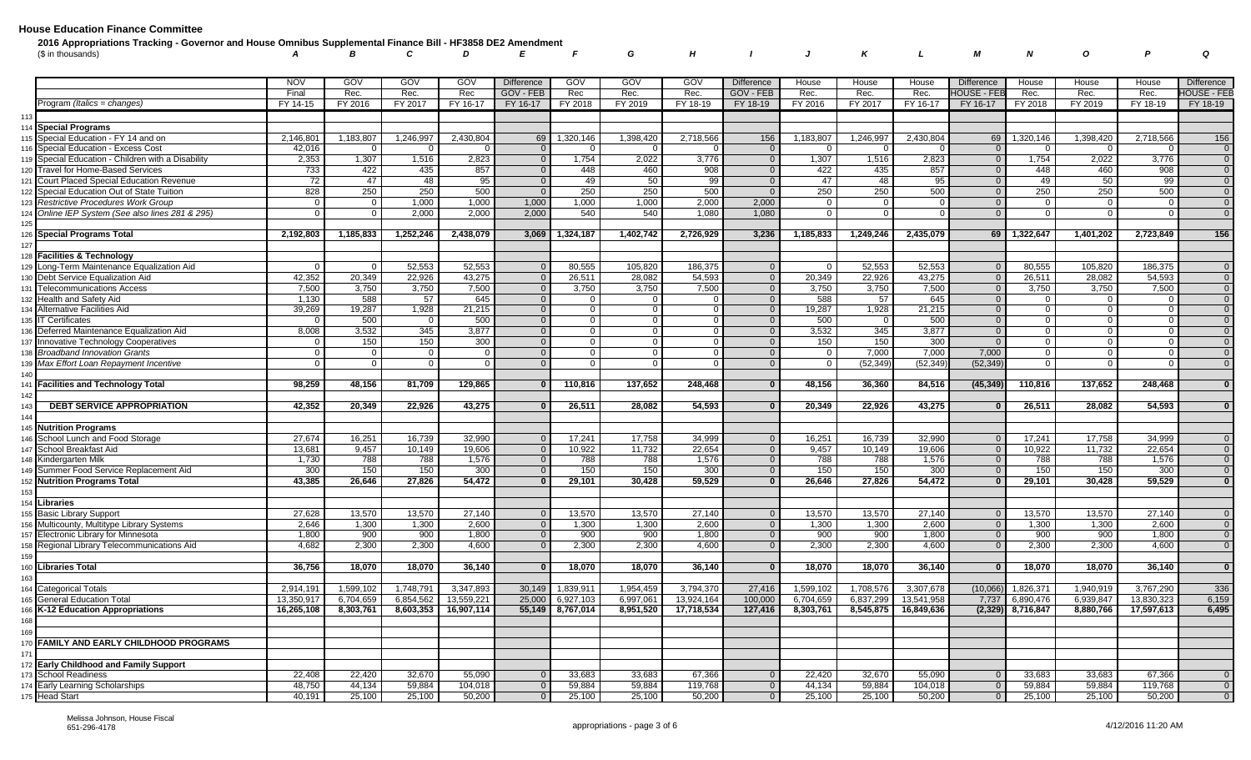| 2016 Appropriations Tracking - Governor and House Omnibus Supplemental Finance Bill - HF3858 DE2 Amendment |  |  |  |  |  |  |  |                                   |  |
|------------------------------------------------------------------------------------------------------------|--|--|--|--|--|--|--|-----------------------------------|--|
| '\$ in thousands)                                                                                          |  |  |  |  |  |  |  | A B C D E F G H I J K L M N O P Q |  |

|                                                    | <b>NOV</b> | GOV            | GOV         | GOV        | <b>Difference</b> | GOV            | GOV       | GOV        | <b>Difference</b> | House          | House     | House      | <b>Difference</b>  | House          | House     | House      | <b>Difference</b>       |
|----------------------------------------------------|------------|----------------|-------------|------------|-------------------|----------------|-----------|------------|-------------------|----------------|-----------|------------|--------------------|----------------|-----------|------------|-------------------------|
|                                                    | Final      | Rec.           | Rec.        | Rec        | GOV - FEB         | Rec            | Rec.      | Rec.       | GOV - FEB         | Rec.           | Rec.      | Rec.       | <b>IOUSE - FEB</b> | Rec.           | Rec.      | Rec.       | <b>HOUSE - FEB</b>      |
| Program (Italics = changes)                        | FY 14-15   | FY 2016        | FY 2017     | FY 16-17   | FY 16-17          | FY 2018        | FY 2019   | FY 18-19   | FY 18-19          | FY 2016        | FY 2017   | FY 16-17   | FY 16-17           | FY 2018        | FY 2019   | FY 18-19   | FY 18-19                |
| 113                                                |            |                |             |            |                   |                |           |            |                   |                |           |            |                    |                |           |            |                         |
| 114 Special Programs                               |            |                |             |            |                   |                |           |            |                   |                |           |            |                    |                |           |            |                         |
| 115 Special Education - FY 14 and on               | 2,146,80   | 1,183,807      | 1,246,997   | 2.430.80   | 69                | 1,320,146      | 1,398,420 | 2.718.566  | 156               | 1,183,807      | 1,246,997 | 2,430,804  | 69                 | 1,320,146      | 1,398,420 | 2,718,566  | 156                     |
| 116 Special Education - Excess Cost                | 42,016     | $\Omega$       |             |            | $\Omega$          | $\Omega$       |           |            | $\Omega$          | $\Omega$       |           |            | $\Omega$           | $\mathbf{0}$   |           |            | $\overline{0}$          |
| 119 Special Education - Children with a Disability | 2,353      | 1,307          | 1,516       | 2,823      | $\overline{0}$    | 1,754          | 2,022     | 3,776      | $\overline{0}$    | 1,307          | 1,516     | 2,823      | $\overline{0}$     | 1,754          | 2,022     | 3,776      | $\overline{0}$          |
| Travel for Home-Based Services<br>120              | 733        | 422            | 435         | 857        | $\Omega$          | 448            | 460       | 908        | $\Omega$          | 422            | 435       | 857        | $\Omega$           | 448            | 460       | 908        | $\overline{0}$          |
| 121 Court Placed Special Education Revenue         | 72         | 47             | 48          | 95         | $\Omega$          | 49             | 50        | 99         | $\Omega$          | 47             | 48        | 95         | $\Omega$           | 49             | 50        | 99         | $\overline{0}$          |
| 122 Special Education Out of State Tuition         | 828        | 250            | 250         | 500        | $\Omega$          | 250            | 250       | 500        | $\overline{0}$    | 250            | 250       | 500        | $\mathbf{0}$       | 250            | 250       | 500        | $\overline{0}$          |
| 123 Restrictive Procedures Work Group              | $\Omega$   | $\mathbf{0}$   | 1,000       | 1,000      | 1,000             | 1,000          | 1,000     | 2,000      | 2,000             | $\Omega$       | $\Omega$  |            | $\Omega$           | $\mathbf{0}$   | $\Omega$  |            | $\overline{0}$          |
| 124 Online IEP System (See also lines 281 & 295)   |            | $\Omega$       | 2,000       | 2.000      | 2.000             | 540            | 540       | 1,080      | 1,080             | $\Omega$       | $\Omega$  |            | $\Omega$           | $\Omega$       | $\Omega$  |            | $\overline{0}$          |
| 125                                                |            |                |             |            |                   |                |           |            |                   |                |           |            |                    |                |           |            |                         |
| 126 Special Programs Total                         | 2,192,803  | 1,185,833      | 1,252,246   | 2,438,079  | 3,069             | 1,324,187      | 1,402,742 | 2,726,929  | 3,236             | 1,185,833      | 1,249,246 | 2,435,079  | 69                 | 1,322,647      | 1,401,202 | 2,723,849  | 156                     |
| 127                                                |            |                |             |            |                   |                |           |            |                   |                |           |            |                    |                |           |            |                         |
| 128 Facilities & Technology                        |            |                |             |            |                   |                |           |            |                   |                |           |            |                    |                |           |            |                         |
| 129 Long-Term Maintenance Equalization Aid         | $\Omega$   | $\Omega$       | 52,553      | 52,553     | $\Omega$          | 80,555         | 105,820   | 186.375    | $\overline{0}$    | $\Omega$       | 52,553    | 52,553     | $\Omega$           | 80,555         | 105,820   | 186,375    | $\overline{0}$          |
| 130 Debt Service Equalization Aid                  | 42,352     | 20,349         | 22,926      | 43,275     | $\overline{0}$    | 26,511         | 28,082    | 54,593     | $\overline{0}$    | 20,349         | 22,926    | 43,275     | $\overline{0}$     | 26,511         | 28,082    | 54,593     | $\overline{0}$          |
| <b>Telecommunications Access</b><br>131            | 7,500      | 3,750          | 3,750       | 7,500      | $\Omega$          | 3,750          | 3,750     | 7,500      | $\overline{0}$    | 3,750          | 3,750     | 7,500      | $\mathbf{0}$       | 3,750          | 3,750     | 7,500      | $\overline{0}$          |
| 132 Health and Safety Aid                          | 1,130      | 588            | 57          | 645        | $\Omega$          | $\overline{0}$ | $\Omega$  |            | $\overline{0}$    | 588            | 57        | 645        | $\overline{0}$     | $\overline{0}$ | $\Omega$  |            | $\overline{0}$          |
| 134 Alternative Facilities Aid                     | 39,269     | 19,287         | 1,928       | 21,215     | $\Omega$          | $\mathbf 0$    | $\Omega$  | $\Omega$   | $\overline{0}$    | 19,287         | 1,928     | 21,215     | $\Omega$           | $\circ$        | $\Omega$  |            | $\overline{0}$          |
| 135 IT Certificates                                |            | 500            |             | 500        | $\Omega$          | $\overline{0}$ | $\Omega$  |            | $\overline{0}$    | 500            | $\Omega$  | 500        | $\Omega$           | $\overline{0}$ | $\Omega$  |            | $\overline{0}$          |
| Deferred Maintenance Equalization Aid<br>136       | 8,008      | 3,532          | 345         | 3,877      | $\Omega$          | $\mathbf 0$    |           |            | $\mathbf 0$       | 3,532          | 345       | 3,877      | $\Omega$           | $\mathbf 0$    | $\Omega$  |            | $\overline{0}$          |
| <b>Innovative Technology Cooperatives</b><br>137   |            | 150            | 150         | 300        | $\Omega$          | $\overline{0}$ | $\Omega$  |            | $\Omega$          | 150            | 150       | 300        | $\Omega$           | $\overline{0}$ | $\Omega$  |            | $\overline{0}$          |
| 138 Broadband Innovation Grants                    | $\Omega$   | $\overline{0}$ | $\mathbf 0$ | $\Omega$   | $\Omega$          | $\overline{0}$ | $\Omega$  | 0          | $\overline{0}$    | $\overline{0}$ | 7,000     | 7,000      | 7,000              | $\overline{0}$ | $\Omega$  |            | $\overline{0}$          |
| Max Effort Loan Repayment Incentive<br>139         |            | $\overline{0}$ |             |            | $\Omega$          | $\Omega$       |           |            | $\Omega$          | $\overline{0}$ | (52, 349) | (52, 349)  | (52, 349)          | $\mathbf{0}$   |           |            | $\overline{0}$          |
| 140                                                |            |                |             |            |                   |                |           |            |                   |                |           |            |                    |                |           |            |                         |
| 141 Facilities and Technology Total                | 98,259     | 48.156         | 81.709      | 129.865    | $\Omega$          | 110.816        | 137,652   | 248,468    | $\mathbf{0}$      | 48.156         | 36,360    | 84,516     | (45, 349)          | 110,816        | 137,652   | 248,468    | $\overline{\mathbf{0}}$ |
| 142                                                |            |                |             |            |                   |                |           |            |                   |                |           |            |                    |                |           |            |                         |
| <b>DEBT SERVICE APPROPRIATION</b><br>143           | 42,352     | 20,349         | 22,926      | 43,275     | $\Omega$          | 26,511         | 28,082    | 54,593     | $\Omega$          | 20,349         | 22,926    | 43,275     | $\Omega$           | 26,511         | 28,082    | 54,593     | $\overline{\mathbf{0}}$ |
| 144                                                |            |                |             |            |                   |                |           |            |                   |                |           |            |                    |                |           |            |                         |
| 145 Nutrition Programs                             |            |                |             |            |                   |                |           |            |                   |                |           |            |                    |                |           |            |                         |
| 146 School Lunch and Food Storage                  | 27,674     | 16,251         | 16,739      | 32,990     | $\Omega$          | 17,241         | 17,758    | 34,999     | $\Omega$          | 16,251         | 16,739    | 32,990     | $\overline{0}$     | 17,241         | 17,758    | 34,999     | $\Omega$                |
| 147 School Breakfast Aid                           | 13,681     | 9,457          | 10,149      | 19,606     | $\Omega$          | 10,922         | 11,732    | 22,654     | $\mathbf 0$       | 9,457          | 10,149    | 19,606     | $\Omega$           | 10,922         | 11,732    | 22,654     | $\overline{0}$          |
| 148 Kindergarten Milk                              | 1.730      | 788            | 788         | 1,576      | $\Omega$          | 788            | 788       | 1,576      | $\Omega$          | 788            | 788       | 1,576      | $\Omega$           | 788            | 788       | 1,576      | $\overline{0}$          |
| 149 Summer Food Service Replacement Aid            | 300        | 150            | 150         | 300        | $\Omega$          | 150            | 150       | 300        | $\overline{0}$    | 150            | 150       | 300        | $\Omega$           | 150            | 150       | 300        | $\overline{0}$          |
| 152 Nutrition Programs Total                       | 43,385     | 26,646         | 27,826      | 54,472     |                   | 29,101         | 30,428    | 59,529     | $\Omega$          | 26,646         | 27,826    | 54,472     |                    | 29,101         | 30,428    | 59,529     | $\mathbf{0}$            |
| 153                                                |            |                |             |            |                   |                |           |            |                   |                |           |            |                    |                |           |            |                         |
| 154 Libraries                                      |            |                |             |            |                   |                |           |            |                   |                |           |            |                    |                |           |            |                         |
| 155 Basic Library Support                          | 27,628     | 13.570         | 13,570      | 27,140     | $\overline{0}$    | 13.570         | 13.570    | 27.140     | $\Omega$          | 13.570         | 13.570    | 27.140     | $\overline{0}$     | 13,570         | 13.570    | 27.140     | $\Omega$                |
| 156 Multicounty, Multitype Library Systems         | 2.646      | 1,300          | 1,300       | 2.600      | $\overline{0}$    | 1,300          | 1,300     | 2,600      | $\overline{0}$    | 1,300          | 1,300     | 2.600      | $\overline{0}$     | 1,300          | 1,300     | 2.600      | $\overline{0}$          |
| Electronic Library for Minnesota                   | 1,800      | 900            | 900         | 1,800      | $\overline{0}$    | 900            | 900       | 1,800      | $\overline{0}$    | 900            | 900       | 1,800      | $\overline{0}$     | 900            | 900       | 1,800      | $\overline{0}$          |
| Regional Library Telecommunications Aid<br>158     | 4.682      | 2.300          | 2,300       | 4.600      | $\Omega$          | 2,300          | 2,300     | 4.600      | $\overline{0}$    | 2,300          | 2,300     | 4,600      | $\Omega$           | 2,300          | 2.300     | 4.600      | $\overline{0}$          |
|                                                    |            |                |             |            |                   |                |           |            |                   |                |           |            |                    |                |           |            |                         |
| 160 Libraries Total                                | 36,756     | 18,070         | 18,070      | 36,140     | $\Omega$          | 18,070         | 18,070    | 36,140     | $\mathbf{0}$      | 18,070         | 18,070    | 36,140     | $\Omega$           | 18,070         | 18,070    | 36,140     | $\overline{\mathbf{0}}$ |
| 163                                                |            |                |             |            |                   |                |           |            |                   |                |           |            |                    |                |           |            |                         |
| 164 Categorical Totals                             | 2,914,191  | 1.599.102      | 1,748,791   | 3,347,893  | 30,149            | 1,839,911      | 1,954,459 | 3,794,370  | 27,416            | 1,599,102      | 1,708,576 | 3,307,678  | (10,066)           | 1,826,371      | 1,940,919 | 3.767.290  | 336                     |
| <b>General Education Total</b>                     | 13,350,91  | 6,704,659      | 6,854,562   | 13,559,221 | 25,000            | 6,927,103      | 6,997,06  | 13,924,164 | 100,000           | 6,704,659      | 6,837,299 | 13,541,958 | 7,737              | 6,890,476      | 6,939,847 | 13,830,323 | 6,159                   |
| 166 K-12 Education Appropriations                  | 16,265,108 | 8,303,761      | 8,603,353   | 16,907,114 | 55,149            | 8,767,014      | 8,951,520 | 17,718,534 | 127,416           | 8,303,761      | 8,545,875 | 16,849,636 | (2,329)            | 8,716,847      | 8,880,766 | 17,597,613 | 6,495                   |
| 168                                                |            |                |             |            |                   |                |           |            |                   |                |           |            |                    |                |           |            |                         |
|                                                    |            |                |             |            |                   |                |           |            |                   |                |           |            |                    |                |           |            |                         |
| 170 FAMILY AND EARLY CHILDHOOD PROGRAMS            |            |                |             |            |                   |                |           |            |                   |                |           |            |                    |                |           |            |                         |
| 171                                                |            |                |             |            |                   |                |           |            |                   |                |           |            |                    |                |           |            |                         |
| 172 Early Childhood and Family Support             |            |                |             |            |                   |                |           |            |                   |                |           |            |                    |                |           |            |                         |
| 173 School Readiness                               | 22,408     | 22,420         | 32,670      | 55,090     | $\Omega$          | 33,683         | 33,683    | 67,366     | $\Omega$          | 22,420         | 32,670    | 55,090     | $\Omega$           | 33,683         | 33,683    | 67,366     | $\Omega$                |
| 174 Early Learning Scholarships                    | 48,750     | 44.134         | 59,884      | 104.018    | $\Omega$          | 59,884         | 59,884    | 119.768    | $\overline{0}$    | 44.134         | 59,884    | 104.018    | $\Omega$           | 59,884         | 59,884    | 119.768    | $\overline{0}$          |
| 175 Head Start                                     | 40,191     | 25,100         | 25,100      | 50,200     | $\Omega$          | 25,100         | 25,100    | 50,200     | $\overline{0}$    | 25,100         | 25,100    | 50,200     | $\Omega$           | 25,100         | 25,100    | 50,200     | $\overline{0}$          |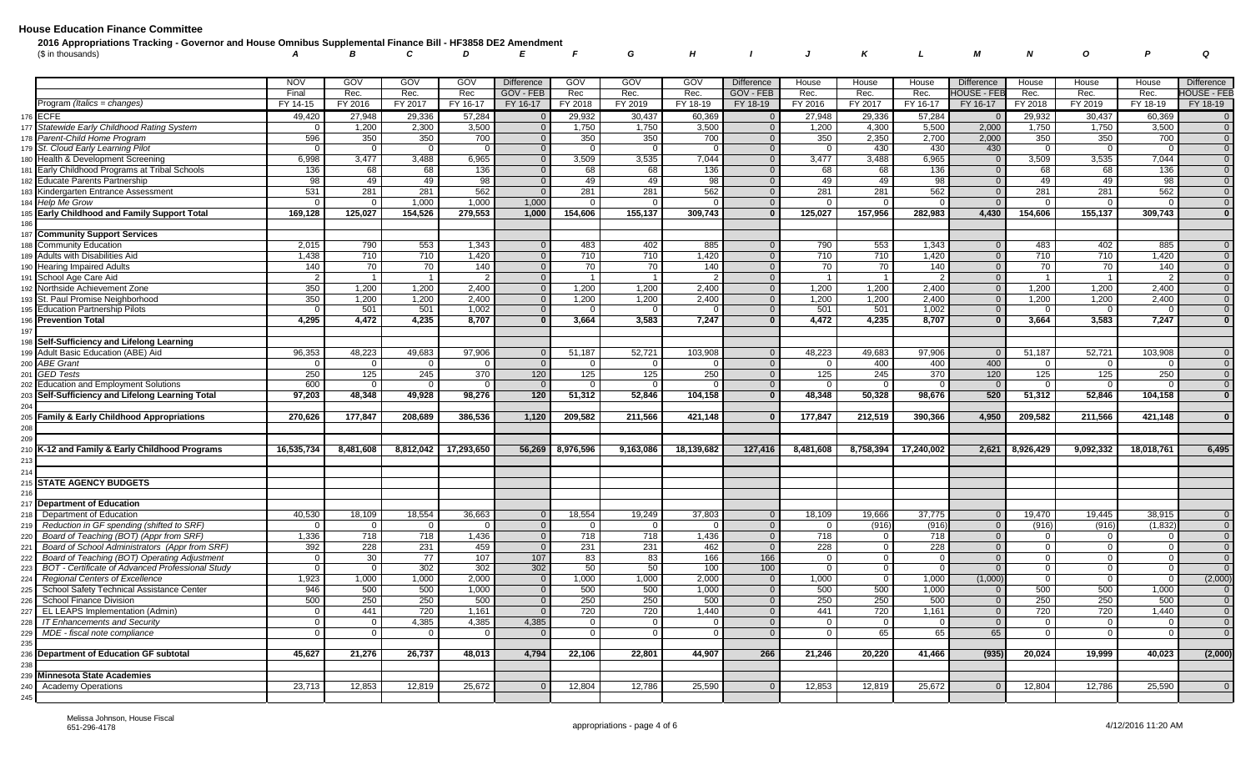| 2016 Appropriations Tracking - Governor and House Omnibus Supplemental Finance Bill - HF3858 DE2 Amendment |  |  |  |  |  |  |  |                                   |  |
|------------------------------------------------------------------------------------------------------------|--|--|--|--|--|--|--|-----------------------------------|--|
| (\$ in thousands)                                                                                          |  |  |  |  |  |  |  | A B C D E F G H I J K L M N O P Q |  |

|     |                                                    | <b>NOV</b>     | GOV            | <b>GOV</b>     | GOV        | <b>Difference</b> | GOV            | GOV            | GOV        | <b>Difference</b>       | House          | House          | House      | <b>Difference</b>  | House          | House     | House      | Difference         |
|-----|----------------------------------------------------|----------------|----------------|----------------|------------|-------------------|----------------|----------------|------------|-------------------------|----------------|----------------|------------|--------------------|----------------|-----------|------------|--------------------|
|     |                                                    | Final          | Rec.           | Rec.           | Rec        | GOV - FEB         | Rec            | Rec.           | Rec.       | GOV - FEB               | Rec.           | Rec.           | Rec.       | <b>IOUSE - FEE</b> | Rec.           | Rec.      | Rec.       | <b>HOUSE - FEB</b> |
|     | Program (Italics = changes)                        | FY 14-15       | FY 2016        | FY 2017        | FY 16-17   | FY 16-17          | FY 2018        | FY 2019        | FY 18-19   | FY 18-19                | FY 2016        | FY 2017        | FY 16-17   | FY 16-17           | FY 2018        | FY 2019   | FY 18-19   | FY 18-19           |
| 176 | <b>ECFE</b>                                        | 49,420         | 27,948         | 29,336         | 57.284     |                   | 29,932         | 30,437         | 60,369     | $\overline{0}$          | 27,948         | 29,336         | 57,284     |                    | 29,932         | 30,437    | 60,369     | $\overline{0}$     |
| 177 | Statewide Early Childhood Rating System            | $\Omega$       | 1,200          | 2,300          | 3,500      | $\overline{0}$    | 1,750          | 1,750          | 3,500      | $\overline{0}$          | 1,200          | 4,300          | 5,500      | 2,000              | 1,750          | 1,750     | 3,500      | $\overline{0}$     |
|     | Parent-Child Home Program                          | 596            | 350            | 350            | 700        | $\overline{0}$    | 350            | 350            | 700        | $\overline{0}$          | 350            | 2,350          | 2,700      | 2,000              | 350            | 350       | 700        | $\overline{0}$     |
| 179 | St. Cloud Early Learning Pilot                     | $\Omega$       | $\mathbf 0$    | $\Omega$       | - 0        | $\overline{0}$    | $\overline{0}$ | $\Omega$       | $\Omega$   | $\Omega$                | $\overline{0}$ | 430            | 430        | 430                | $\mathbf{0}$   | $\Omega$  |            | $\overline{0}$     |
| 180 | Health & Development Screening                     | 6,998          | 3,477          | 3,488          | 6,965      | $\overline{0}$    | 3,509          | 3,535          | 7,044      | $\overline{\mathbf{0}}$ | 3,477          | 3,488          | 6,965      | $\overline{0}$     | 3,509          | 3,535     | 7,044      | $\overline{0}$     |
| 181 | Early Childhood Programs at Tribal Schools         | 136            | 68             | 68             | 136        | $\Omega$          | 68             | 68             | 136        | $\Omega$                | 68             | 68             | 136        | $\Omega$           | 68             | 68        | 136        | $\overline{0}$     |
|     | <b>Educate Parents Partnership</b>                 | 98             | 49             | 49             | 98         | $\Omega$          | 49             | 49             | 98         | $\mathbf{0}$            | 49             | 49             | 98         | $\overline{0}$     | 49             | 49        | 98         | $\overline{0}$     |
|     | 183 Kindergarten Entrance Assessment               | 531            | 281            | 281            | 562        |                   | 281            | 281            | 562        | $\Omega$                | 281            | 281            | 562        | $\Omega$           | 281            | 281       | 562        | $\overline{0}$     |
| 184 | Help Me Grow                                       |                | $\Omega$       | 1,000          | 1,000      | 1,000             | $\mathbf{0}$   |                |            | $\overline{0}$          | $\Omega$       | $\Omega$       |            |                    | $\mathbf{0}$   |           |            | $\overline{0}$     |
| 185 | <b>Early Childhood and Family Support Total</b>    | 169,128        | 125,027        | 154,526        | 279,553    | 1,000             | 154,606        | 155,137        | 309,743    | $\Omega$                | 125,027        | 157,956        | 282,983    | 4,430              | 154,606        | 155,137   | 309,743    | $\mathbf{0}$       |
| 186 |                                                    |                |                |                |            |                   |                |                |            |                         |                |                |            |                    |                |           |            |                    |
| 187 | <b>Community Support Services</b>                  |                |                |                |            |                   |                |                |            |                         |                |                |            |                    |                |           |            |                    |
| 188 | <b>Community Education</b>                         | 2,015          | 790            | 553            | 1,343      | $\overline{0}$    | 483            | 402            | 885        | $\Omega$                | 790            | 553            | 1,343      | $\overline{0}$     | 483            | 402       | 885        | $\overline{0}$     |
| 189 | Adults with Disabilities Aid                       | 1,438          | 710            | 710            | 1,420      | $\overline{0}$    | 710            | 710            | 1,420      | $\overline{0}$          | 710            | 710            | 1,420      | $\overline{0}$     | 710            | 710       | 1,420      | $\overline{0}$     |
| 190 | <b>Hearing Impaired Adults</b>                     | 140            | 70             | 70             | 140        | $\overline{0}$    | 70             | 70             | 140        | $\Omega$                | 70             | 70             | 140        | $\overline{0}$     | 70             | 70        | 140        | $\overline{0}$     |
| 191 | School Age Care Aid                                | $\overline{2}$ | $\overline{1}$ | $\overline{1}$ |            | $\overline{0}$    | $\overline{1}$ |                |            | $\overline{\mathbf{0}}$ | $\overline{1}$ | $\overline{1}$ |            | $\Omega$           | $\overline{1}$ |           |            | $\overline{0}$     |
|     | Northside Achievement Zone                         | 350            | 1,200          | 1,200          | 2,400      | $\overline{0}$    | 1,200          | 1,200          | 2,400      | $\overline{0}$          | 1,200          | 1,200          | 2,400      | $\overline{0}$     | 1,200          | 1,200     | 2,400      | $\overline{0}$     |
| 193 | St. Paul Promise Neighborhood                      | 350            | 1,200          | 1,200          | 2,400      | $\overline{0}$    | 1,200          | 1,200          | 2,400      | $\mathbf{0}$            | 1,200          | 1,200          | 2,400      | $\mathbf{0}$       | 1,200          | 1,200     | 2,400      | $\overline{0}$     |
| 195 | <b>Education Partnership Pilots</b>                |                | 501            | 501            | 1,002      | $\Omega$          | $\Omega$       |                |            | $\Omega$                | 501            | 501            | 1,002      | $\Omega$           | $\Omega$       |           |            | $\overline{0}$     |
| 196 | <b>Prevention Total</b>                            | 4,295          | 4,472          | 4.235          | 8,707      | $\mathbf{0}$      | 3,664          | 3,583          | 7,247      | $\mathbf{0}$            | 4,472          | 4,235          | 8,707      | $\mathbf{0}$       | 3,664          | 3,583     | 7,247      | $\mathbf{0}$       |
| 197 |                                                    |                |                |                |            |                   |                |                |            |                         |                |                |            |                    |                |           |            |                    |
| 198 | Self-Sufficiency and Lifelong Learning             |                |                |                |            |                   |                |                |            |                         |                |                |            |                    |                |           |            |                    |
| 199 | Adult Basic Education (ABE) Aid                    | 96,353         | 48,223         | 49,683         | 97,906     | $\Omega$          | 51,187         | 52,721         | 103,908    | $\overline{0}$          | 48,223         | 49,683         | 97,906     | $\overline{0}$     | 51,187         | 52,721    | 103,908    | $\overline{0}$     |
| 200 | <b>ABE Grant</b>                                   | $\Omega$       | $\Omega$       | $\Omega$       |            | $\Omega$          | $\Omega$       | - 0            |            | $\Omega$                | $\Omega$       | 400            | 400        | 400                | $\Omega$       | $\Omega$  |            | $\overline{0}$     |
| 201 | <b>GED Tests</b>                                   | 250            | 125            | 245            | 370        | 120               | 125            | 125            | 250        | $\overline{0}$          | 125            | 245            | 370        | 120                | 125            | 125       | 250        | $\overline{0}$     |
| 202 | <b>Education and Employment Solutions</b>          | 600            | $\Omega$       |                |            | $\Omega$          | $\Omega$       | $\cap$         |            | $\Omega$                | $\Omega$       |                |            | $\Omega$           | $\Omega$       | $\cap$    |            | $\overline{0}$     |
| 203 | Self-Sufficiency and Lifelong Learning Total       | 97,203         | 48.348         | 49,928         | 98,276     | 120               | 51,312         | 52,846         | 104,158    | $\mathbf{0}$            | 48,348         | 50,328         | 98,676     | 520                | 51,312         | 52,846    | 104,158    | $\mathbf{0}$       |
| 204 |                                                    |                |                |                |            |                   |                |                |            |                         |                |                |            |                    |                |           |            |                    |
| 205 | <b>Family &amp; Early Childhood Appropriations</b> | 270.626        | 177,847        | 208,689        | 386,536    | 1,120             | 209,582        | 211,566        | 421,148    | $\Omega$                | 177,847        | 212,519        | 390,366    | 4.950              | 209,582        | 211,566   | 421,148    | $\mathbf{0}$       |
| 208 |                                                    |                |                |                |            |                   |                |                |            |                         |                |                |            |                    |                |           |            |                    |
| 209 |                                                    |                |                |                |            |                   |                |                |            |                         |                |                |            |                    |                |           |            |                    |
|     | K-12 and Family & Early Childhood Programs         | 16,535,734     | 8.481.608      | 8,812,042      | 17,293,650 | 56,269            | 8,976,596      | 9,163,086      | 18,139,682 | 127.416                 | 8,481,608      | 8,758,394      | 17,240,002 | 2,621              | 8,926,429      | 9,092,332 | 18,018,761 | 6.495              |
| 213 |                                                    |                |                |                |            |                   |                |                |            |                         |                |                |            |                    |                |           |            |                    |
| 214 |                                                    |                |                |                |            |                   |                |                |            |                         |                |                |            |                    |                |           |            |                    |
|     | <b>STATE AGENCY BUDGETS</b>                        |                |                |                |            |                   |                |                |            |                         |                |                |            |                    |                |           |            |                    |
| 216 |                                                    |                |                |                |            |                   |                |                |            |                         |                |                |            |                    |                |           |            |                    |
| 217 | <b>Department of Education</b>                     |                |                |                |            |                   |                |                |            |                         |                |                |            |                    |                |           |            |                    |
| 218 | Department of Education                            | 40,530         | 18,109         | 18,554         | 36,663     | $\Omega$          | 18,554         | 19,249         | 37,803     | $\Omega$                | 18,109         | 19,666         | 37,775     | $\Omega$           | 19,470         | 19,445    | 38,915     | $\overline{0}$     |
| 219 | Reduction in GF spending (shifted to SRF)          | $\Omega$       | $\Omega$       | $\overline{0}$ |            | $\overline{0}$    | $\mathbf{0}$   | $\Omega$       |            | $\overline{0}$          | 0 <sup>1</sup> | (916)          | (916)      | $\overline{0}$     | (916)          | (916)     | (1,832)    | $\overline{0}$     |
| 220 | Board of Teaching (BOT) (Appr from SRF)            | 1,336          | 718            | 718            | 1,436      | $\overline{0}$    | 718            | 718            | 1,436      | $\Omega$                | 718            | $\Omega$       | 718        | $\Omega$           | $\overline{0}$ | $\Omega$  |            | $\overline{0}$     |
| 221 | Board of School Administrators (Appr from SRF)     | 392            | 228            | 231            | 459        | $\mathbf 0$       | 231            | 231            | 462        | $\Omega$                | 228            | $\Omega$       | 228        | $\overline{0}$     | $\mathbf 0$    | $\Omega$  |            | $\overline{0}$     |
| 222 | Board of Teaching (BOT) Operating Adjustment       | $\Omega$       | 30             | 77             | 107        | 107               | 83             | 83             | 166        | 166                     | $\mathbf 0$    | $\Omega$       |            | $\Omega$           | $\mathbf{0}$   |           |            | $\overline{0}$     |
| 223 | BOT - Certificate of Advanced Professional Study   | $\Omega$       | $\mathbf 0$    | 302            | 302        | 302               | 50             | 50             | 100        | 100                     | $\overline{0}$ | $\Omega$       | - റ        | $\Omega$           | $\overline{0}$ | $\Omega$  |            | $\overline{0}$     |
| 224 | Regional Centers of Excellence                     | 1,923          | 1,000          | 1,000          | 2,000      | $\overline{0}$    | 1,000          | 1,000          | 2,000      | $\overline{0}$          | 1,000          | $\Omega$       | 1,000      | (1,000)            | $\mathbf 0$    | $\Omega$  |            | (2,000)            |
| 225 | School Safety Technical Assistance Center          | 946            | 500            | 500            | 1,000      | $\overline{0}$    | 500            | 500            | 1.000      | $\Omega$                | 500            | 500            | 1,000      | $\Omega$           | 500            | 500       | 1.000      | $\Omega$           |
| 226 | School Finance Division                            | 500            | 250            | 250            | 500        | $\Omega$          | 250            | 250            | 500        | $\overline{0}$          | 250            | 250            | 500        | $\overline{0}$     | 250            | 250       | 500        | $\overline{0}$     |
| 227 | EL LEAPS Implementation (Admin)                    | $\mathbf 0$    | 441            | 720            | 1,161      | $\Omega$          | 720            | 720            | 1,440      | $\Omega$                | 441            | 720            | 1,161      | $\Omega$           | 720            | 720       | 1,440      | $\overline{0}$     |
| 228 | <b>IT Enhancements and Security</b>                | $\Omega$       | $\overline{0}$ | 4,385          | 4,385      | 4,385             | $\overline{0}$ | $\overline{0}$ |            | $\overline{0}$          | $\overline{0}$ | $\Omega$       |            | $\Omega$           | $\overline{0}$ | $\Omega$  |            | $\overline{0}$     |
| 229 | MDE - fiscal note compliance                       | $\Omega$       | $\overline{0}$ |                |            |                   | $\Omega$       |                |            | $\Omega$                | 0 <sup>1</sup> | 65             | 65         | 65                 | $\mathbf{0}$   | $\Omega$  |            | $\overline{0}$     |
| 235 |                                                    |                |                |                |            |                   |                |                |            |                         |                |                |            |                    |                |           |            |                    |
| 236 | Department of Education GF subtotal                | 45,627         | 21,276         | 26,737         | 48,013     | 4,794             | 22,106         | 22,801         | 44,907     | 266                     | 21,246         | 20,220         | 41,466     | (935)              | 20,024         | 19,999    | 40,023     | (2,000)            |
| 238 |                                                    |                |                |                |            |                   |                |                |            |                         |                |                |            |                    |                |           |            |                    |
| 239 | <b>Minnesota State Academies</b>                   |                |                |                |            |                   |                |                |            |                         |                |                |            |                    |                |           |            |                    |
| 240 | <b>Academy Operations</b>                          | 23,713         | 12,853         | 12,819         | 25,672     | $\Omega$          | 12,804         | 12,786         | 25,590     | $\Omega$                | 12,853         | 12,819         | 25,672     | $\Omega$           | 12,804         | 12,786    | 25,590     | $\overline{0}$     |
| 245 |                                                    |                |                |                |            |                   |                |                |            |                         |                |                |            |                    |                |           |            |                    |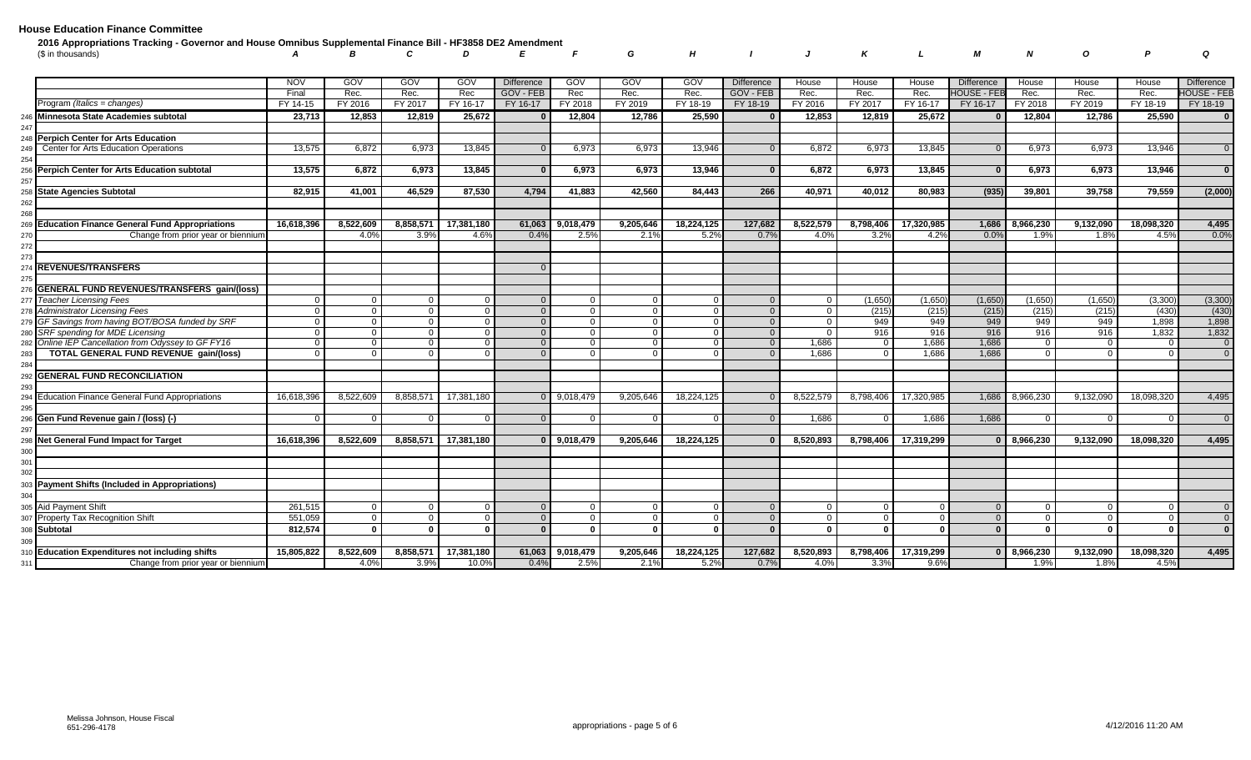| 2016 Appropriations Tracking - Governor and House Omnibus Supplemental Finance Bill - HF3858 DE2 Amendment |  |  |  |  |  |  |  |                                   |  |
|------------------------------------------------------------------------------------------------------------|--|--|--|--|--|--|--|-----------------------------------|--|
| (\$ in thousands)                                                                                          |  |  |  |  |  |  |  | A B C D E F G H I J K L M N O P Q |  |
|                                                                                                            |  |  |  |  |  |  |  |                                   |  |

|                                                      | <b>NOV</b> | GOV            | <b>GOV</b>   | <b>GOV</b>   | <b>Difference</b> | GOV            | <b>GOV</b>   | GOV          | <b>Difference</b> | House          | House        | House         | <b>Difference</b> | House          | House     | House      | <b>Difference</b>  |
|------------------------------------------------------|------------|----------------|--------------|--------------|-------------------|----------------|--------------|--------------|-------------------|----------------|--------------|---------------|-------------------|----------------|-----------|------------|--------------------|
|                                                      | Final      | Rec.           | Rec.         | Rec          | <b>GOV - FEB</b>  | Rec            | Rec.         | Rec.         | GOV - FEB         | Rec.           | Rec.         | Rec.          | HOUSE - FEE       | Rec.           | Rec.      | Rec.       | <b>HOUSE - FEB</b> |
| Program <i>(Italics = changes)</i>                   | FY 14-15   | FY 2016        | FY 2017      | FY 16-17     | FY 16-17          | FY 2018        | FY 2019      | FY 18-19     | FY 18-19          | FY 2016        | FY 2017      | FY 16-17      | FY 16-17          | FY 2018        | FY 2019   | FY 18-19   | FY 18-19           |
| Minnesota State Academies subtotal                   | 23,713     | 12,853         | 12,819       | 25,672       |                   | 12,804         | 12,786       | 25,590       | $\Omega$          | 12,853         | 12,819       | 25,672        |                   | 12,804         | 12,786    | 25,590     | $\overline{0}$     |
|                                                      |            |                |              |              |                   |                |              |              |                   |                |              |               |                   |                |           |            |                    |
| Perpich Center for Arts Education                    |            |                |              |              |                   |                |              |              |                   |                |              |               |                   |                |           |            |                    |
| Center for Arts Education Operations                 | 13,575     | 6,872          | 6,973        | 13,845       |                   | 6,973          | 6,973        | 13,946       | $\overline{0}$    | 6,872          | 6,973        | 13,845        | $\overline{0}$    | 6,973          | 6,973     | 13,946     | $\overline{0}$     |
|                                                      | 13,575     | 6,872          |              | 13,845       |                   |                |              | 13,946       | $\Omega$          | 6,872          |              | 13,845        | $\Omega$          |                |           |            | $\mathbf{0}$       |
| <b>Perpich Center for Arts Education subtotal</b>    |            |                | 6,973        |              |                   | 6,973          | 6,973        |              |                   |                | 6,973        |               |                   | 6,973          | 6,973     | 13,946     |                    |
| <b>State Agencies Subtotal</b>                       | 82,915     | 41,001         | 46,529       | 87,530       | 4,794             | 41,883         | 42,560       | 84,443       | 266               | 40,971         | 40,012       | 80,983        | (935)             | 39,801         | 39,758    | 79,559     | (2,000)            |
|                                                      |            |                |              |              |                   |                |              |              |                   |                |              |               |                   |                |           |            |                    |
|                                                      |            |                |              |              |                   |                |              |              |                   |                |              |               |                   |                |           |            |                    |
| <b>Education Finance General Fund Appropriations</b> | 16.618.396 | 8,522,609      | 8,858,57     | 17.381.180   | 61.063            | 9,018,479      | 9,205,646    | 18,224,125   | 127.682           | 8.522.579      | 8,798,406    | 17.320.985    | 1,686             | 8.966.230      | 9,132,090 | 18.098.320 | 4,495              |
| Change from prior year or biennium                   |            | 4.0%           | 3.9%         | 4.6%         | 0.4%              | 2.5%           | 2.1%         | 5.2%         | 0.7%              | 4.0%           | 3.2%         | 4.2%          | 0.0%              | 1.9%           | 1.8%      | 4.5%       | 0.0%               |
|                                                      |            |                |              |              |                   |                |              |              |                   |                |              |               |                   |                |           |            |                    |
|                                                      |            |                |              |              |                   |                |              |              |                   |                |              |               |                   |                |           |            |                    |
| <b>REVENUES/TRANSFERS</b>                            |            |                |              |              | $\Omega$          |                |              |              |                   |                |              |               |                   |                |           |            |                    |
|                                                      |            |                |              |              |                   |                |              |              |                   |                |              |               |                   |                |           |            |                    |
| <b>GENERAL FUND REVENUES/TRANSFERS gain/(loss)</b>   |            |                |              |              |                   |                |              |              |                   |                |              |               |                   |                |           |            |                    |
| <b>Teacher Licensing Fees</b>                        | - 0        | $\overline{0}$ |              |              |                   | $\overline{0}$ | $\Omega$     | $\Omega$     | $\Omega$          | $\overline{0}$ | (1,650)      | (1,650)       | (1,650)           | (1,650)        | (1,650)   | (3, 300)   | (3,300)            |
| Administrator Licensing Fees                         | $\Omega$   | $\overline{0}$ | $\Omega$     | $\Omega$     | $\Omega$          | $\overline{0}$ | $\Omega$     | $\Omega$     | $\Omega$          | $\Omega$       | (215)        | (215)         | (215)             | (215)          | (215)     | (430)      | (430)              |
| GF Savings from having BOT/BOSA funded by SRF        | $\Omega$   | $\overline{0}$ | $\Omega$     | - 0          | $\Omega$          | $\overline{0}$ | $\Omega$     | - വ          | $\Omega$          | $\Omega$       | 949          | 949           | 949               | 949            | 949       | 1,898      | 1,898              |
| SRF spending for MDE Licensing                       | $\Omega$   | $\overline{0}$ |              | $\Omega$     | $\Omega$          | $\mathbf{0}$   | $\Omega$     |              | $\Omega$          | $\Omega$       | 916          | 916           | 916               | 916            | 916       | 1,832      | 1,832              |
| Online IEP Cancellation from Odyssey to GF FY16      | $\Omega$   | $\Omega$       |              |              | $\Omega$          | $\mathbf{0}$   | $\Omega$     | 0            | $\Omega$          | 1,686          | $\Omega$     | 1,686         | 1,686             | $\Omega$       | $\Omega$  |            | $\overline{0}$     |
| TOTAL GENERAL FUND REVENUE gain/(loss)               | $\Omega$   | $\Omega$       |              | $\Omega$     | $\Omega$          | $\Omega$       | $\Omega$     | $\Omega$     | $\Omega$          | 1.686          | $\Omega$     | 1.686         | 1.686             | $\Omega$       | $\Omega$  |            | $\Omega$           |
| <b>GENERAL FUND RECONCILIATION</b>                   |            |                |              |              |                   |                |              |              |                   |                |              |               |                   |                |           |            |                    |
|                                                      |            |                |              |              |                   |                |              |              |                   |                |              |               |                   |                |           |            |                    |
| <b>Education Finance General Fund Appropriations</b> | 16,618,396 | 8,522,609      | 8,858,57     | 17,381,180   |                   | 9,018,479      | 9.205.646    | 18,224,125   |                   | 8,522,579      | 8,798,406    | 17,320,985    | 1,686             | 8,966,230      | 9,132,090 | 18,098,320 | 4,495              |
|                                                      |            |                |              |              |                   |                |              |              |                   |                |              |               |                   |                |           |            |                    |
| Gen Fund Revenue gain / (loss) (-)                   | $\Omega$   | $\overline{0}$ |              |              |                   | $\Omega$       | $\Omega$     | $\Omega$     | $\Omega$          | 1,686          | $\Omega$     | 1,686         | 1,686             | $\mathbf{0}$   |           |            | $\overline{0}$     |
|                                                      |            |                |              |              |                   |                |              |              |                   |                |              |               |                   |                |           |            |                    |
| Net General Fund Impact for Target                   | 16,618,396 | 8,522,609      | 8,858,571    | 17,381,180   | $\Omega$          | 9,018,479      | 9,205,646    | 18,224,125   |                   | 8,520,893      | 8,798,406    | 17,319,299    |                   | 8,966,230      | 9,132,090 | 18,098,320 | 4,495              |
|                                                      |            |                |              |              |                   |                |              |              |                   |                |              |               |                   |                |           |            |                    |
| 301                                                  |            |                |              |              |                   |                |              |              |                   |                |              |               |                   |                |           |            |                    |
| 302                                                  |            |                |              |              |                   |                |              |              |                   |                |              |               |                   |                |           |            |                    |
| Payment Shifts (Included in Appropriations)          |            |                |              |              |                   |                |              |              |                   |                |              |               |                   |                |           |            |                    |
|                                                      |            |                |              |              |                   |                |              |              |                   |                |              |               |                   |                |           |            |                    |
| <b>Aid Payment Shift</b>                             | 261,515    | $\overline{0}$ | $\Omega$     | $\Omega$     | $\Omega$          | $\overline{0}$ | $\Omega$     | $\Omega$     | $\Omega$          | $\Omega$       | $\cap$       | $\sqrt{ }$    |                   | $\overline{0}$ |           |            | $\overline{0}$     |
| Property Tax Recognition Shift                       | 551,059    | $\mathbf 0$    |              | $\Omega$     |                   | $\Omega$       | $\Omega$     | $\Omega$     | $\Omega$          | $\Omega$       | $\Omega$     | $\mathcal{C}$ |                   | $\Omega$       |           |            | $\overline{0}$     |
| Subtotal                                             | 812.574    | $\mathbf{0}$   | $\mathbf{r}$ | $\mathbf{r}$ | $\Omega$          | $\mathbf{0}$   | $\mathbf{0}$ | $\mathbf{r}$ | $\Omega$          | $\mathbf{0}$   | $\mathbf{r}$ | $\Omega$      |                   | $\mathbf{0}$   | $\Omega$  |            | $\overline{0}$     |
|                                                      |            |                |              |              |                   |                |              |              |                   |                |              |               |                   |                |           |            |                    |
| <b>Education Expenditures not including shifts</b>   | 15,805,822 | 8,522,609      | 8,858,571    | 17,381,180   | 61,063            | 9,018,479      | 9,205,646    | 18,224,125   | 127,682           | 8,520,893      | 8,798,406    | 17,319,299    |                   | 8,966,230      | 9,132,090 | 18,098,320 | 4,495              |
| Change from prior year or biennium                   |            | 4.0%           | 3.9%         | 10.0%        | 0.4%              | 2.5%           | 2.1%         | 5.2%         | 0.7%              | 4.0%           | 3.3%         | 9.6%          |                   | 1.9%           | 1.8%      | 4.5%       |                    |